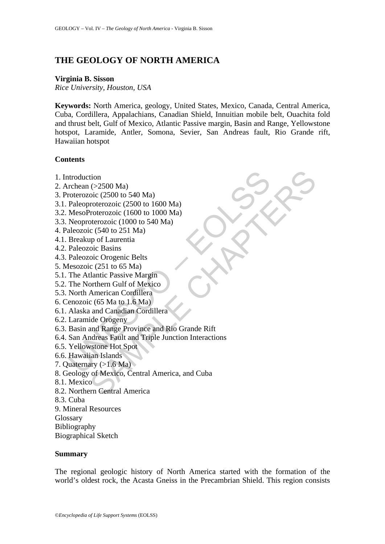# **THE GEOLOGY OF NORTH AMERICA**

#### **Virginia B. Sisson**

*Rice University, Houston, USA* 

**Keywords:** North America, geology, United States, Mexico, Canada, Central America, Cuba, Cordillera, Appalachians, Canadian Shield, Innuitian mobile belt, Ouachita fold and thrust belt, Gulf of Mexico, Atlantic Passive margin, Basin and Range, Yellowstone hotspot, Laramide, Antler, Somona, Sevier, San Andreas fault, Rio Grande rift, Hawaiian hotspot

## **Contents**

- 1. Introduction
- 2. Archean (>2500 Ma)
- 3. Proterozoic (2500 to 540 Ma)
- 3.1. Paleoproterozoic (2500 to 1600 Ma)
- 3.2. MesoProterozoic (1600 to 1000 Ma)
- 3.3. Neoproterozoic (1000 to 540 Ma)
- 4. Paleozoic (540 to 251 Ma)
- 4.1. Breakup of Laurentia
- 4.2. Paleozoic Basins
- 4.3. Paleozoic Orogenic Belts
- 5. Mesozoic (251 to 65 Ma)
- 5.1. The Atlantic Passive Margin
- 5.2. The Northern Gulf of Mexico
- 5.3. North American Cordillera
- 6. Cenozoic (65 Ma to 1.6 Ma)
- 6.1. Alaska and Canadian Cordillera
- 6.2. Laramide Orogeny
- 6.3. Basin and Range Province and Rio Grande Rift
- ntroduction<br>
rchean (>2500 Ma)<br>
roterozoic (2500 to 540 Ma)<br>
Paleoproterozoic (2500 to 1600 Ma)<br>
MesoProterozoic (1600 to 1000 Ma)<br>
MesoProterozoic (1600 to 540 Ma)<br>
Recozoic (250 to 551 Ma)<br>
aleozoic (251 to 65 Ma)<br>
Break tion<br>
(>2500 Ma)<br>
oic (2500 to 540 Ma)<br>
orterozoic (2500 to 1600 Ma)<br>
roterozoic (1600 to 1000 Ma)<br>
oterozoic (1000 to 540 Ma)<br>
or Caurentia<br>
oic Basins<br>
oic Basins<br>
oic Chapter Margin<br>
oic Chaptain<br>
oic Chaptain<br>
oic Chap 6.4. San Andreas Fault and Triple Junction Interactions
- 6.5. Yellowstone Hot Spot
- 6.6. Hawaiian Islands
- 7. Quaternary  $(>1.6$  Ma)
- 8. Geology of Mexico, Central America, and Cuba
- 8.1. Mexico
- 8.2. Northern Central America
- 8.3. Cuba
- 9. Mineral Resources
- **Glossary**
- Bibliography
- Biographical Sketch

#### **Summary**

The regional geologic history of North America started with the formation of the world's oldest rock, the Acasta Gneiss in the Precambrian Shield. This region consists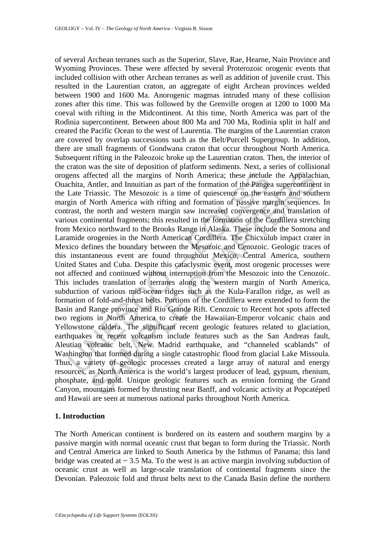gens affected all the margins of North America; these include<br>chita, Antler, and Innuitian as part of the formation of the Pange:<br>Late Triassic. The Mesozoic is a time of quiescence on the easin of North America with rifti Fected all the margins of North America; these include the Appalach<br>fected all the margins of North America; these include the Appalach<br>Antler, and Innuitian as part of the formation of the Pangea supercontine<br>riassic. The of several Archean terranes such as the Superior, Slave, Rae, Hearne, Nain Province and Wyoming Provinces. These were affected by several Proterozoic orogenic events that included collision with other Archean terranes as well as addition of juvenile crust. This resulted in the Laurentian craton, an aggregate of eight Archean provinces welded between 1900 and 1600 Ma. Anorogenic magmas intruded many of these collision zones after this time. This was followed by the Grenville orogen at 1200 to 1000 Ma coeval with rifting in the Midcontinent. At this time, North America was part of the Rodinia supercontinent. Between about 800 Ma and 700 Ma, Rodinia split in half and created the Pacific Ocean to the west of Laurentia. The margins of the Laurentian craton are covered by overlap successions such as the Belt/Purcell Supergroup. In addition, there are small fragments of Gondwana craton that occur throughout North America. Subsequent rifting in the Paleozoic broke up the Laurentian craton. Then, the interior of the craton was the site of deposition of platform sediments. Next, a series of collisional orogens affected all the margins of North America; these include the Appalachian, Ouachita, Antler, and Innuitian as part of the formation of the Pangea supercontinent in the Late Triassic. The Mesozoic is a time of quiescence on the eastern and southern margin of North America with rifting and formation of passive margin sequences. In contrast, the north and western margin saw increased convergence and translation of various continental fragments; this resulted in the formation of the Cordillera stretching from Mexico northward to the Brooks Range in Alaska. These include the Somona and Laramide orogenies in the North American Cordillera. The Chicxulub impact crater in Mexico defines the boundary between the Mesozoic and Cenozoic. Geologic traces of this instantaneous event are found throughout Mexico, Central America, southern United States and Cuba. Despite this cataclysmic event, most orogenic processes were not affected and continued without interruption from the Mesozoic into the Cenozoic. This includes translation of terranes along the western margin of North America, subduction of various mid-ocean ridges such as the Kula-Farallon ridge, as well as formation of fold-and-thrust belts. Portions of the Cordillera were extended to form the Basin and Range province and Rio Grande Rift. Cenozoic to Recent hot spots affected two regions in North America to create the Hawaiian-Emperor volcanic chain and Yellowstone caldera. The significant recent geologic features related to glaciation, earthquakes or recent volcanism include features such as the San Andreas fault, Aleutian volcanic belt, New Madrid earthquake, and "channeled scablands" of Washington that formed during a single catastrophic flood from glacial Lake Missoula. Thus, a variety of geologic processes created a large array of natural and energy resources, as North America is the world's largest producer of lead, gypsum, rhenium, phosphate, and gold. Unique geologic features such as erosion forming the Grand Canyon, mountains formed by thrusting near Banff, and volcanic activity at Popcatépetl and Hawaii are seen at numerous national parks throughout North America.

#### **1. Introduction**

The North American continent is bordered on its eastern and southern margins by a passive margin with normal oceanic crust that began to form during the Triassic. North and Central America are linked to South America by the Isthmus of Panama; this land bridge was created at  $\sim$  3.5 Ma. To the west is an active margin involving subduction of oceanic crust as well as large-scale translation of continental fragments since the Devonian. Paleozoic fold and thrust belts next to the Canada Basin define the northern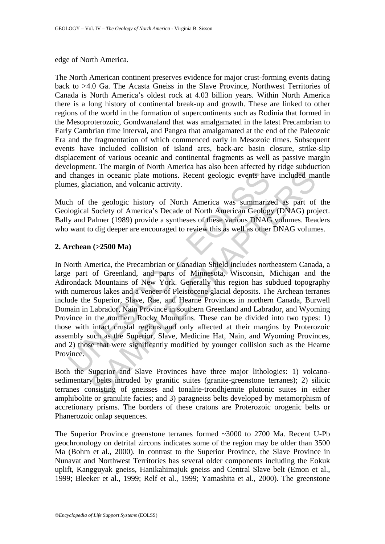#### edge of North America.

The North American continent preserves evidence for major crust-forming events dating back to >4.0 Ga. The Acasta Gneiss in the Slave Province, Northwest Territories of Canada is North America's oldest rock at 4.03 billion years. Within North America there is a long history of continental break-up and growth. These are linked to other regions of the world in the formation of supercontinents such as Rodinia that formed in the Mesoproterozoic, Gondwanaland that was amalgamated in the latest Precambrian to Early Cambrian time interval, and Pangea that amalgamated at the end of the Paleozoic Era and the fragmentation of which commenced early in Mesozoic times. Subsequent events have included collision of island arcs, back-arc basin closure, strike-slip displacement of various oceanic and continental fragments as well as passive margin development. The margin of North America has also been affected by ridge subduction and changes in oceanic plate motions. Recent geologic events have included mantle plumes, glaciation, and volcanic activity.

Much of the geologic history of North America was summarized as part of the Geological Society of America's Decade of North American Geology (DNAG) project. Bally and Palmer (1989) provide a syntheses of these various DNAG volumes. Readers who want to dig deeper are encouraged to review this as well as other DNAG volumes.

## **2. Archean (>2500 Ma)**

changes in oceanic plate motions. Recent geologic events have the set of the geologic history of North America was summarized to forth of the geological Society of America's Decade of North American Geologic y and Palmer ( is in oceanic plate motions. Recent geologic events have included maciation, and volcanic activity.<br>
the geologic history of North America was summarized as part of Society of America's Decade of North American Geology (DN In North America, the Precambrian or Canadian Shield includes northeastern Canada, a large part of Greenland, and parts of Minnesota, Wisconsin, Michigan and the Adirondack Mountains of New York. Generally this region has subdued topography with numerous lakes and a veneer of Pleistocene glacial deposits. The Archean terranes include the Superior, Slave, Rae, and Hearne Provinces in northern Canada, Burwell Domain in Labrador, Nain Province in southern Greenland and Labrador, and Wyoming Province in the northern Rocky Mountains. These can be divided into two types: 1) those with intact crustal regions and only affected at their margins by Proterozoic assembly such as the Superior, Slave, Medicine Hat, Nain, and Wyoming Provinces, and 2) those that were significantly modified by younger collision such as the Hearne Province.

Both the Superior and Slave Provinces have three major lithologies: 1) volcanosedimentary belts intruded by granitic suites (granite-greenstone terranes); 2) silicic terranes consisting of gneisses and tonalite-trondhjemite plutonic suites in either amphibolite or granulite facies; and 3) paragneiss belts developed by metamorphism of accretionary prisms. The borders of these cratons are Proterozoic orogenic belts or Phanerozoic onlap sequences.

The Superior Province greenstone terranes formed ~3000 to 2700 Ma. Recent U-Pb geochronology on detrital zircons indicates some of the region may be older than 3500 Ma (Bohm et al., 2000). In contrast to the Superior Province, the Slave Province in Nunavat and Northwest Territories has several older components including the Eokuk uplift, Kangguyak gneiss, Hanikahimajuk gneiss and Central Slave belt (Emon et al., 1999; Bleeker et al., 1999; Relf et al., 1999; Yamashita et al., 2000). The greenstone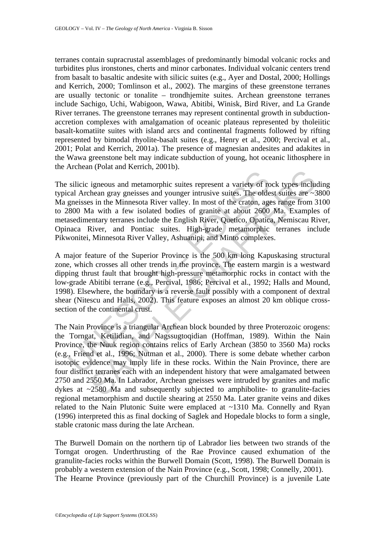terranes contain supracrustal assemblages of predominantly bimodal volcanic rocks and turbidites plus ironstones, cherts and minor carbonates. Individual volcanic centers trend from basalt to basaltic andesite with silicic suites (e.g., Ayer and Dostal, 2000; Hollings and Kerrich, 2000; Tomlinson et al., 2002). The margins of these greenstone terranes are usually tectonic or tonalite – trondhjemite suites. Archean greenstone terranes include Sachigo, Uchi, Wabigoon, Wawa, Abitibi, Winisk, Bird River, and La Grande River terranes. The greenstone terranes may represent continental growth in subductionaccretion complexes with amalgamation of oceanic plateaus represented by tholeiitic basalt-komatiite suites with island arcs and continental fragments followed by rifting represented by bimodal rhyolite-basalt suites (e.g., Henry et al., 2000; Percival et al., 2001; Polat and Kerrich, 2001a). The presence of magnesian andesites and adakites in the Wawa greenstone belt may indicate subduction of young, hot oceanic lithosphere in the Archean (Polat and Kerrich, 2001b).

silicic igneous and metamorphic suites represent a variety of rocal Archean gray gneisses and younger intusive suites. The olde gneisses in the Minnesota River valley. In most of the craton, age 300 Ma with a few isolated The silicic igneous and metamorphic suites represent a variety of rock types including typical Archean gray gneisses and younger intrusive suites. The oldest suites are ~3800 Ma gneisses in the Minnesota River valley. In most of the craton, ages range from 3100 to 2800 Ma with a few isolated bodies of granite at about 2600 Ma. Examples of metasedimentary terranes include the English River, Quetico, Opatica, Nemiscau River, Opinaca River, and Pontiac suites. High-grade metamorphic terranes include Pikwonitei, Minnesota River Valley, Ashuanipi, and Minto complexes.

A major feature of the Superior Province is the 500 km long Kapuskasing structural zone, which crosses all other trends in the province. The eastern margin is a westward dipping thrust fault that brought high-pressure metamorphic rocks in contact with the low-grade Abitibi terrane (e.g., Percival, 1986; Percival et al., 1992; Halls and Mound, 1998). Elsewhere, the boundary is a reverse fault possibly with a component of dextral shear (Nitescu and Halls, 2002). This feature exposes an almost 20 km oblique crosssection of the continental crust.

igneous and metamorphic suites represent a variety of rock types includes<br>heat agray genesiss and younger intrusive suites. The oldest suites are  $\sim$ <br>s in the Minnesota River valley. In most of the cration, ages range fr The Nain Province is a triangular Archean block bounded by three Proterozoic orogens: the Torngat, Ketilidian, and Nagssugtoqidian (Hoffman, 1989). Within the Nain Province, the Nuuk region contains relics of Early Archean (3850 to 3560 Ma) rocks (e.g., Friend et al., 1996; Nutman et al., 2000). There is some debate whether carbon isotopic evidence may imply life in these rocks. Within the Nain Province, there are four distinct terranes each with an independent history that were amalgamated between 2750 and 2550 Ma. In Labrador, Archean gneisses were intruded by granites and mafic dykes at ~2580 Ma and subsequently subjected to amphibolite- to granulite-facies regional metamorphism and ductile shearing at 2550 Ma. Later granite veins and dikes related to the Nain Plutonic Suite were emplaced at ~1310 Ma. Connelly and Ryan (1996) interpreted this as final docking of Saglek and Hopedale blocks to form a single, stable cratonic mass during the late Archean.

The Burwell Domain on the northern tip of Labrador lies between two strands of the Torngat orogen. Underthrusting of the Rae Province caused exhumation of the granulite-facies rocks within the Burwell Domain (Scott, 1998). The Burwell Domain is probably a western extension of the Nain Province (e.g., Scott, 1998; Connelly, 2001). The Hearne Province (previously part of the Churchill Province) is a juvenile Late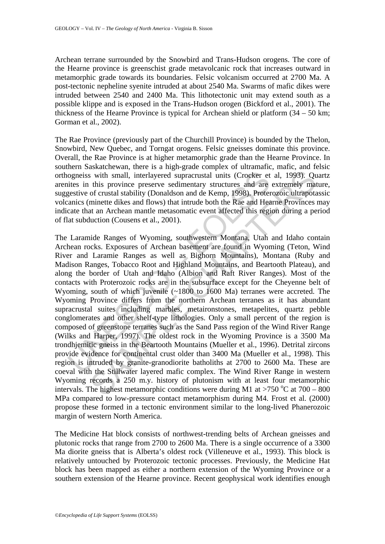Archean terrane surrounded by the Snowbird and Trans-Hudson orogens. The core of the Hearne province is greenschist grade metavolcanic rock that increases outward in metamorphic grade towards its boundaries. Felsic volcanism occurred at 2700 Ma. A post-tectonic nepheline syenite intruded at about 2540 Ma. Swarms of mafic dikes were intruded between 2540 and 2400 Ma. This lithotectonic unit may extend south as a possible klippe and is exposed in the Trans-Hudson orogen (Bickford et al., 2001). The thickness of the Hearne Province is typical for Archean shield or platform  $(34 - 50 \text{ km})$ ; Gorman et al., 2002).

The Rae Province (previously part of the Churchill Province) is bounded by the Thelon, Snowbird, New Quebec, and Torngat orogens. Felsic gneisses dominate this province. Overall, the Rae Province is at higher metamorphic grade than the Hearne Province. In southern Saskatchewan, there is a high-grade complex of ultramafic, mafic, and felsic orthogneiss with small, interlayered supracrustal units (Crocker et al, 1993). Quartz arenites in this province preserve sedimentary structures and are extremely mature, suggestive of crustal stability (Donaldson and de Kemp, 1998). Proterozoic ultrapotassic volcanics (minette dikes and flows) that intrude both the Rae and Hearne Provinces may indicate that an Archean mantle metasomatic event affected this region during a period of flat subduction (Cousens et al., 2001).

ogneiss with small, interlayered supracrustal units (Crocker et<br>ites in this province preserve sedimentary structures and are<br>gestive of crustal stability (Donaldson and de Kemp, 1998). Proter<br>anics (mineted ikes and flows s with small, interlayered supracrustal units (Crocker et al., 1993). Qu<br>this province preserve sedimentary structures and are extremely mad<br>of crustal stability (Donaldson and de Kemp, 1998). Perforzooic ultraport<br>of cru The Laramide Ranges of Wyoming, southwestern Montana, Utah and Idaho contain Archean rocks. Exposures of Archean basement are found in Wyoming (Teton, Wind River and Laramie Ranges as well as Bighorn Mountains), Montana (Ruby and Madison Ranges, Tobacco Root and Highland Mountains, and Beartooth Plateau), and along the border of Utah and Idaho (Albion and Raft River Ranges). Most of the contacts with Proterozoic rocks are in the subsurface except for the Cheyenne belt of Wyoming, south of which juvenile (~1800 to 1600 Ma) terranes were accreted. The Wyoming Province differs from the northern Archean terranes as it has abundant supracrustal suites including marbles, metaironstones, metapelites, quartz pebble conglomerates and other shelf-type lithologies. Only a small percent of the region is composed of greenstone terranes such as the Sand Pass region of the Wind River Range (Wilks and Harper, 1997). The oldest rock in the Wyoming Province is a 3500 Ma trondhjemitic gneiss in the Beartooth Mountains (Mueller et al., 1996). Detrital zircons provide evidence for continental crust older than 3400 Ma (Mueller et al., 1998). This region is intruded by granite-granodiorite batholiths at 2700 to 2600 Ma. These are coeval with the Stillwater layered mafic complex. The Wind River Range in western Wyoming records a 250 m.y. history of plutonism with at least four metamorphic intervals. The highest metamorphic conditions were during M1 at >750 °C at 700 – 800 MPa compared to low-pressure contact metamorphism during M4. Frost et al. (2000) propose these formed in a tectonic environment similar to the long-lived Phanerozoic margin of western North America.

The Medicine Hat block consists of northwest-trending belts of Archean gneisses and plutonic rocks that range from 2700 to 2600 Ma. There is a single occurrence of a 3300 Ma diorite gneiss that is Alberta's oldest rock (Villeneuve et al., 1993). This block is relatively untouched by Proterozoic tectonic processes. Previously, the Medicine Hat block has been mapped as either a northern extension of the Wyoming Province or a southern extension of the Hearne province. Recent geophysical work identifies enough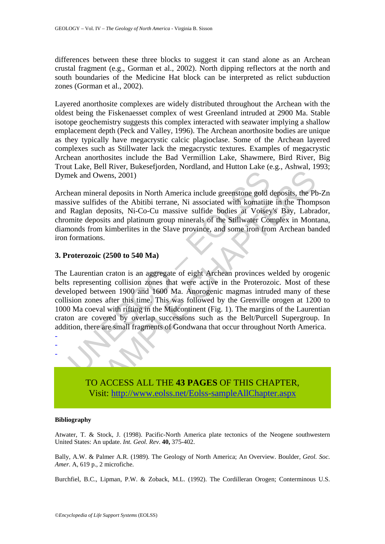differences between these three blocks to suggest it can stand alone as an Archean crustal fragment (e.g., Gorman et al., 2002). North dipping reflectors at the north and south boundaries of the Medicine Hat block can be interpreted as relict subduction zones (Gorman et al., 2002).

Layered anorthosite complexes are widely distributed throughout the Archean with the oldest being the Fiskenaesset complex of west Greenland intruded at 2900 Ma. Stable isotope geochemistry suggests this complex interacted with seawater implying a shallow emplacement depth (Peck and Valley, 1996). The Archean anorthosite bodies are unique as they typically have megacrystic calcic plagioclase. Some of the Archean layered complexes such as Stillwater lack the megacrystic textures. Examples of megacrystic Archean anorthosites include the Bad Vermillion Lake, Shawmere, Bird River, Big Trout Lake, Bell River, Bukesefjorden, Nordland, and Hutton Lake (e.g., Ashwal, 1993; Dymek and Owens, 2001)

Archean mineral deposits in North America include greenstone gold deposits, the Pb-Zn massive sulfides of the Abitibi terrane, Ni associated with komatiite in the Thompson and Raglan deposits, Ni-Co-Cu massive sulfide bodies at Voisey's Bay, Labrador, chromite deposits and platinum group minerals of the Stillwater Complex in Montana, diamonds from kimberlites in the Slave province, and some iron from Archean banded iron formations.

#### **3. Proterozoic (2500 to 540 Ma)**

mextraneously and Owens, 2001)<br>thean mineral deposits in North America include greenstone gold<br>sive sulfides of the Abitibi terrane, Ni associated with komatiits<br>Raglan deposits, Ni-Co-Cu massive sulfide bodies at Voisey<br>s 1 Owens, 2001)<br>
ineral deposits in North America include greenstone gold deposits, the Pt<br>
Iffides of the Abitibi terrane, Ni associated with komatiite in the Thomp<br>
in deposits, Ni-Co-Cu massive sulfide bodies at Voisey's The Laurentian craton is an aggregate of eight Archean provinces welded by orogenic belts representing collision zones that were active in the Proterozoic. Most of these developed between 1900 and 1600 Ma. Anorogenic magmas intruded many of these collision zones after this time. This was followed by the Grenville orogen at 1200 to 1000 Ma coeval with rifting in the Midcontinent (Fig. 1). The margins of the Laurentian craton are covered by overlap successions such as the Belt/Purcell Supergroup. In addition, there are small fragments of Gondwana that occur throughout North America.



#### **Bibliography**

- - -

Atwater, T. & Stock, J. (1998). Pacific-North America plate tectonics of the Neogene southwestern United States: An update. *Int. Geol. Rev*. **40,** 375-402.

Bally, A.W. & Palmer A.R. (1989). The Geology of North America; An Overview. Boulder, *Geol. Soc. Amer.* A, 619 p., 2 microfiche.

Burchfiel, B.C., Lipman, P.W. & Zoback, M.L. (1992). The Cordilleran Orogen; Conterminous U.S.